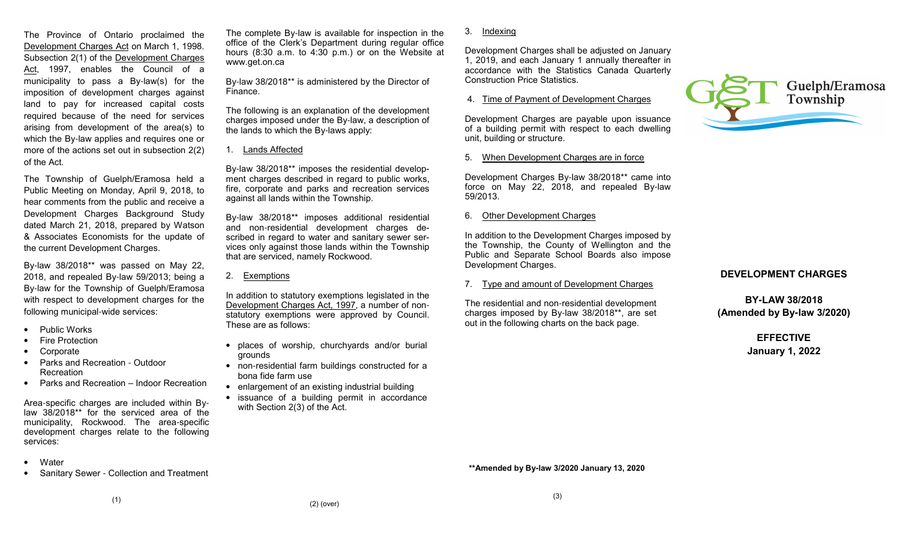The Province of Ontario proclaimed the Development Charges Act on March 1, 1998. Subsection 2(1) of the Development Charges Act, 1997, enables the Council of a municipality to pass a By-law(s) for the imposition of development charges against land to pay for increased capital costs required because of the need for services arising from development of the area(s) to which the By-law applies and requires one or more of the actions set out in subsection 2(2) of the Act.

The Township of Guelph/Eramosa held a Public Meeting on Monday, April 9, 2018, to hear comments from the public and receive a Development Charges Background Study dated March 21, 2018, prepared by Watson & Associates Economists for the update of the current Development Charges.

By-law 38/2018\*\* was passed on May 22, 2018, and repealed By-law 59/2013; being a By-law for the Township of Guelph/Eramosa with respect to development charges for the following municipal-wide services:

- Public Works
- Fire Protection
- **Corporate**
- Parks and Recreation Outdoor Recreation
- Parks and Recreation Indoor Recreation

Area-specific charges are included within By law 38/2018\*\* for the serviced area of the municipality, Rockwood. The area-specific development charges relate to the following services:

- Water
- Sanitary Sewer Collection and Treatment

The complete By-law is available for inspection in the office of the Clerk's Department during regular office hours (8:30 a.m. to 4:30 p.m.) or on the Website atwww.get.on.ca

By-law 38/2018\*\* is administered by the Director of Finance.

The following is an explanation of the development charges imposed under the By-law, a description of the lands to which the By-laws apply:

1. Lands Affected

By-law 38/2018\*\* imposes the residential development charges described in regard to public works, fire, corporate and parks and recreation services against all lands within the Township.

By-law 38/2018\*\* imposes additional residential and non-residential development charges described in regard to water and sanitary sewer services only against those lands within the Township that are serviced, namely Rockwood.

# 2. Exemptions

In addition to statutory exemptions legislated in the Development Charges Act, 1997, a number of non statutory exemptions were approved by Council. These are as follows:

- places of worship, churchyards and/or burial grounds
- non-residential farm buildings constructed for a bona fide farm use
- enlargement of an existing industrial building
- issuance of a building permit in accordance with Section 2(3) of the Act.

3. Indexing

Development Charges shall be adjusted on January 1, 2019, and each January 1 annually thereafter in accordance with the Statistics Canada Quarterly Construction Price Statistics.

## 4. Time of Payment of Development Charges

Development Charges are payable upon issuance of a building permit with respect to each dwelling unit, building or structure.

## 5. When Development Charges are in force

Development Charges By-law 38/2018\*\* came into force on May 22, 2018, and repealed By-law 59/2013.

# 6. Other Development Charges

In addition to the Development Charges imposed by the Township, the County of Wellington and the Public and Separate School Boards also impose Development Charges.

7. Type and amount of Development Charges

The residential and non-residential development charges imposed by By-law 38/2018\*\*, are set out in the following charts on the back page.



# **DEVELOPMENT CHARGES**

**BY-LAW 38/2018(Amended by By-law 3/2020)**

> **EFFECTIVEJanuary 1, 2022**

**\*\*Amended by By-law 3/2020 January 13, 2020**